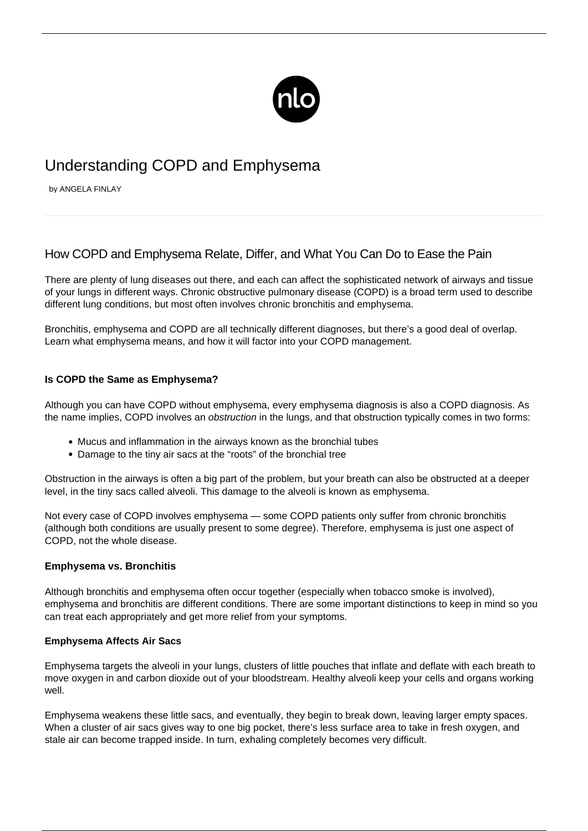

# Understanding COPD and Emphysema

by ANGELA FINLAY

# How COPD and Emphysema Relate, Differ, and What You Can Do to Ease the Pain

There are plenty of lung diseases out there, and each can affect the sophisticated network of airways and tissue of your lungs in different ways. Chronic obstructive pulmonary disease (COPD) is a broad term used to describe different lung conditions, but most often involves chronic bronchitis and emphysema.

Bronchitis, emphysema and COPD are all technically different diagnoses, but there's a good deal of overlap. Learn what emphysema means, and how it will factor into your COPD management.

# **Is COPD the Same as Emphysema?**

Although you can have COPD without emphysema, every emphysema diagnosis is also a [COPD diagnosis.](/copd-diagnosis/) As the name implies, COPD involves an obstruction in the lungs, and that obstruction typically comes in two forms:

- Mucus and inflammation in the airways known as the bronchial tubes
- Damage to the tiny air sacs at the "roots" of the bronchial tree

Obstruction in the airways is often a big part of the problem, but your breath can also be obstructed at a deeper level, in the tiny sacs called alveoli. This damage to the alveoli is known as emphysema.

Not every case of COPD involves emphysema — some COPD patients only suffer from chronic bronchitis (although both conditions are usually present to some degree). Therefore, emphysema is just one aspect of COPD, not the whole disease.

# **Emphysema vs. Bronchitis**

Although bronchitis and emphysema often occur together (especially when tobacco smoke is involved), emphysema and bronchitis are different conditions. There are some important distinctions to keep in mind so you can treat each appropriately and get more relief from your symptoms.

# **Emphysema Affects Air Sacs**

Emphysema targets the alveoli in your lungs, clusters of little pouches that inflate and deflate with each breath to move oxygen in and carbon dioxide out of your bloodstream. Healthy alveoli keep your cells and organs working well.

Emphysema weakens these little sacs, and eventually, they begin to break down, leaving larger empty spaces. When a cluster of air sacs gives way to one big pocket, there's less surface area to take in fresh oxygen, and stale air can become trapped inside. In turn, exhaling completely becomes very difficult.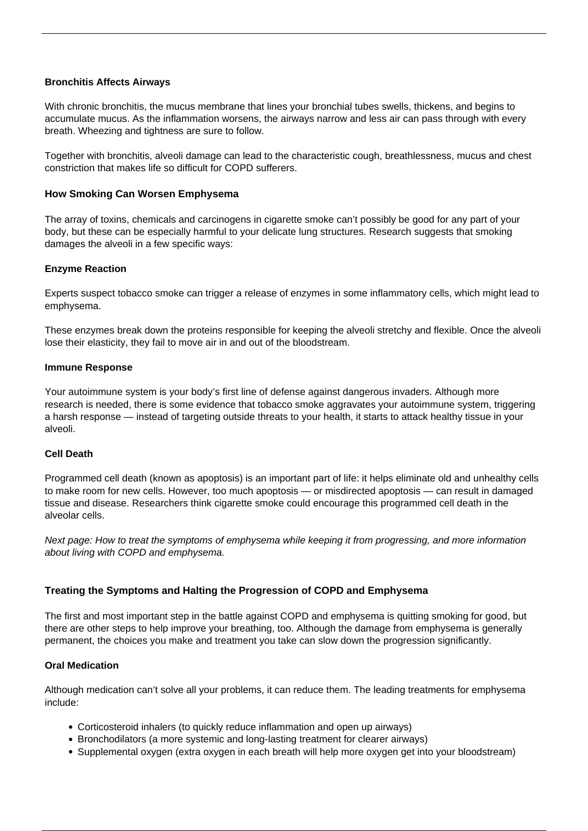# **Bronchitis Affects Airways**

With chronic bronchitis, the mucus membrane that lines your bronchial tubes swells, thickens, and begins to accumulate mucus. As the inflammation worsens, the airways narrow and less air can pass through with every breath. Wheezing and tightness are sure to follow.

Together with bronchitis, alveoli damage can lead to the characteristic cough, breathlessness, mucus and chest constriction that makes life so difficult for COPD sufferers.

## **How Smoking Can Worsen Emphysema**

The array of toxins, chemicals and carcinogens in cigarette smoke can't possibly be good for any part of your body, but these can be especially harmful to your delicate lung structures. Research suggests that smoking damages the alveoli in a few specific ways:

#### **Enzyme Reaction**

Experts suspect tobacco smoke can trigger a release of enzymes in some inflammatory cells, which might lead to emphysema.

These enzymes break down the proteins responsible for keeping the alveoli stretchy and flexible. Once the alveoli lose their elasticity, they fail to move air in and out of the bloodstream.

#### **Immune Response**

Your autoimmune system is your body's first line of defense against dangerous invaders. Although more research is needed, there is some evidence that tobacco smoke aggravates your autoimmune system, triggering a harsh response — instead of targeting outside threats to your health, it starts to attack healthy tissue in your alveoli.

# **Cell Death**

Programmed cell death (known as apoptosis) is an important part of life: it helps eliminate old and unhealthy cells to make room for new cells. However, too much apoptosis — or misdirected apoptosis — can result in damaged tissue and disease. Researchers think cigarette smoke could encourage this programmed cell death in the alveolar cells.

Next page: How to treat the symptoms of emphysema while keeping it from progressing, and more information about living with COPD and emphysema.

#### **Treating the Symptoms and Halting the Progression of COPD and Emphysema**

The first and most important step in the battle against COPD and emphysema is [quitting smoking](/importance-of-smoking-cessation-and-copd/) for good, but there are other steps to help improve your breathing, too. Although the damage from emphysema is generally permanent, the choices you make and treatment you take can slow down the progression significantly.

#### **Oral Medication**

Although medication can't solve all your problems, it can reduce them. The leading treatments for emphysema include:

- Corticosteroid inhalers (to quickly reduce inflammation and open up airways)
- Bronchodilators (a more systemic and long-lasting treatment for clearer airways)
- Supplemental oxygen (extra oxygen in each breath will help more oxygen get into your bloodstream)